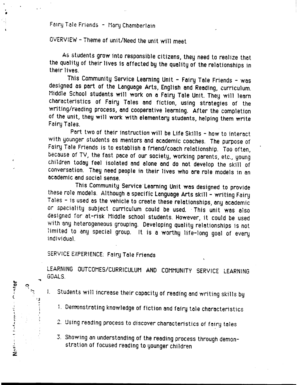## Fairy Tale Friends - Mary Chamberlain

# OVERVIEW - Theme of unit/Need the unit will meet

As students grow into responsible citizens, they need to realize that the quality of their lives is affected by the quality of the relationships in their lives.

This Community Service Learning Unit - Fairy Tale Friends - was designed as part of the Language Arts, English and Reading, curriculum. Middle School students will work on a Fairy Tale Unit. They will learn characteristics of Fairy Tales and fiction, using strategies of the writing/reading process, and cooperative learning. After the completion of the unit, they will work with elementary students, helping them write Fairy Tales.

Part two of their instruction will be Life Skills - how to interact with younger students as mentors and academic coaches. The purpose of Fairy Tale Friends is to establish a friend/coach relationship. Too often, because of TV, the fast pace of our society, working parents, etc., young children today feel isolated and alone and do not develop the skill of conversation. They need people in their lives who are role models in an academic and social sense.

This Community Service Learning Unit was designed to provide these role models. Although a specific Language Arts skill - writing Fairy Tales - is used as the vehicle to create these relationships, any academic or speciality subject curriculum could be used. This unit was also designed for at-risk Middle school students. However, it could be used with any heterogeneous grouping. Developing quality relationships is not limited to any special group. It is a worthy life-long goal of every individual.

## SERVICE EXPERIENCE: Fairy Tale Friends

**Je<sub>tu-J</sub>** 

LEARNING OUTCOMES/CURRICULUM AND COMMUNITY SERVICE LEARNING GOALS.

- Students will increase their capacity of reading and writing skills by
	- 1. Demonstrating knowledge of fiction and fairy tale characteristics
	- 2. Using reading process to discover characteristics of fairy tales
	- 3. Showing an understanding of the reading process through demonstration of focused reading to younger children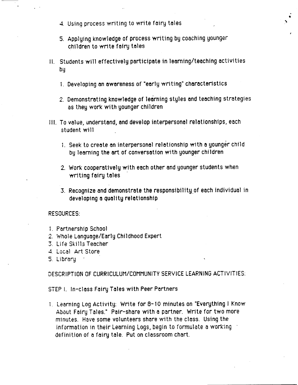- 4. Using process writing to write fairy tales
- 5. Applying knowledge of process writing by coaching younger children to write foiry toles

. •

- II. Students will effectively participate in learning/teaching activities by
	- 1. Developing on awareness of ·early writing· characteristics
	- 2. Demonstrating knowledge of leorning styles and teaching strategies as they work with younger children
- III. To value, understand, and develop interpersonal relationships, each student will
	- i. Seek to create on interpersonal relationship with o younger child by leorning the art of conversation with younger chlldren
	- 2. Work cooperatively with each other and younger students when writing foiry tales ·
	- 3. Recognize and demonstrate the responsibility of each individual in developing a quality relationship

### RESOURCES:

- 1. Partnership School
- 2. Whole Language/Early Childhood Expert
- 3. Life Skills Teacher
- 4. Local Art Store
- 5. Library

DESCRIPTION OF CURRICULUM/COMMUNITY SERVICE LEARNING ACTIVITIES:

STEP 1. In-class Fairy Tales with Peer Partners

1. Learning Log Activity: Write for 8-10 minutes on "Everything I Know About Fairy Tales." Pair-share with a partner. Write for two more minutes. Have some volunteers share with the class. Using the information in their Learning Logs, begin to formulate a working  $\blacksquare$ definition of a fairy tale. Put on classroom chart.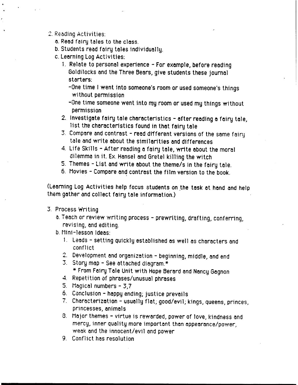- 2. Reading Activities:
	- a. Read fairy tales to the class.
	- b. Students read fairy tales individually.
	- c. Learning Log Activities:
		- 1. Relate to personal experience For example, before reading Goldilocks and the Three Bears, give students these journal starters:
			- -One time I went into someone's room or used someone's things without permission
			- -One time someone went into my room or used my things without permission
		- 2. Investigate fairy tale characteristics after reading a fairy tale, list the characteristics found in that fairy tale
		- 3. Compare and contrast read different versions of the same fairy tale and write about the similarities and differences
		- 4. Life Skills After reading a fairy tale, write about the moral dilemma in it. Ex. Hansel and Gretel killing the witch
		- 5. Themes List and write about the theme/s in the fairy tale.
		- 6. Movies Compare and contrast the film version to the book.

(Learning Log Activities help focus students on the task at hand and help them gather and collect fairy tale information.)

- 3. Process Writing
	- a. Teach or review writing process prewriting, drafting, conferring, revising, and editing.
	- b. Mini-lesson Ideas:
		- 1. Leads setting quickly established as well as characters and conflict
		- 2. Development and organization beginning, middle, and end
		- 3. Story map See attached diagram.\*
			- \* From Fairy Tale Unit with Hope Berard and Nancy Gagnon
		- 4. Repetition of phrases/unusual phrases
		- 5. Magical numbers  $-3.7$
		- 6. Conclusion happy ending; justice prevails
		- 7. Characterization usually flat; good/evil; kings, queens, princes, princesses, animals
		- 8. Major themes virtue is rewarded, power of love, kindness and mercy, inner quality more important than appearance/power, weak and the innocent/evil and power
		- 9. Conflict has resolution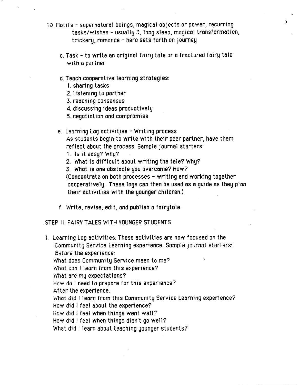10. Motifs - supernatural beings, magical objects or power, recurring tasks/wishes- usually 3, long sleep, magical transformation, trickery, romance - hero sets forth on journey

 $\rightarrow$ 

- c. Task- to write an original fairy tale or a fractured fairy tale with a partner
- d. Teach cooperative learning strategies:
	- 1 . sharing tasks
	- 2. listening to partner
	- 3. reaching consensus
	- 4. discussing ideas productively
	- 5. negotiation and compromise
- e. Learning Log activitjes -Writing process As students begin to write with their peer partner, have them reflect about the process. Sample journal starters:
	- 1. Is it easy? Why?
	- 2. What is difficult about writing the tole? Why?
	- 3. What is one obstacle you overcame? How?

(Concentrate on both processes - writing and working together cooperatively. These logs can then be used as a guide as they plan their activities with the younger children.)

f. Write, revise, edit, and publlsh a foirytale.

STEP II: FAIRV TALES WITH YOUNGER STUDENTS

1. Learning Log activities: These activities are now focused on the Community Service Learning experience. Sample journal starters: Before the experience: What does Community Service mean to me? What can I learn from this experience? 'what are my expectations? How do I need to prepare for this experience? After the experience: What did I learn from this Community Service Learning experience? How did I feel about the experience? How did I feel when things went well? How did I feel when things didn't go well? What did I learn about teaching younger students?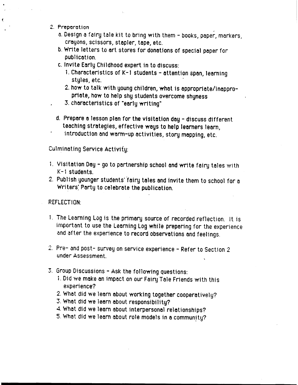- 2. Preparation
	- a. Design a fairy tale kit to bring with them books, paper, markers, crayons, scissors, stapler, tope, etc.
	- b. Write letters to ort stores for donations of special poper for publication.
	- c. Invite Eorly Childhood expert in to discuss:
		- 1. Characteristics of K-1 students attention span, learning stules, etc.
		- 2. how to talk with young children, what is appropriate/inappropriote, how to help shy students overcome shyness
	- 3. characteristics of "early writing"
	- d. Prepare a lesson plan for the visitation day discuss different teaching strategies, effective ways to help learners learn,
	- introduction and worm-up activities, story mopping, etc.

Culminating Service Activity:

- 1. Visitation Doy- go to partnership school ond write fairy tales with K -1 students.
- 2. Publish younger students' fairy tales and invite them to school for a Writers: Porty to celebrate the publication.

REFLECTION:

- 1. The Learning Log is the primary source of recorded reflection. It is important to use the Learning Log while preparing for the experience and after the experience to record observations and feelings.
- 2. Pre- and post- survey on service experience- Refer to Section *<sup>2</sup>* under Assessment.
- 3. Group Discussions- Ask the following Questions:
	- 1. Did we make an impact on our Fairy Tale Friends with this experience?
	- 2. What did we learn about working together cooperatively?
	- 3. What did we learn about responsibility?
	- 4. What did we learn about interpersonal relationships?
	- 5. What did we learn about role models in a community?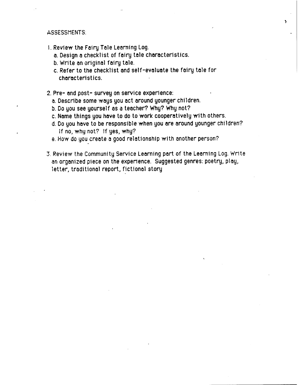### ASSESSMENTS:

- 1. Review the Fairy Tole Learning Log.
	- a. Design o checklist of fairy tole characteristics.
	- b. Write an original fairy tale.
	- c. Refer to the checklist and self-evaluate the fairy tole for characteristics.
- 2. Pre- and post- survey on service experience:
	- a. Describe some ways you act around younger children.
	- b. Do you see yourself os a teacher? Why? Why not?
	- c. Name things you have to do to work cooperatively with others.
	- d. Do you have to be responsible when you are around younger children? If no, why not? If yes, why?

')

- e. How do you create a good relationship with another person?
- 3. Review the Community Service Learning port of the Learning Log. Write an organized piece on the experience. Suggested genres: poetry, play, letter, traditional report, fictional story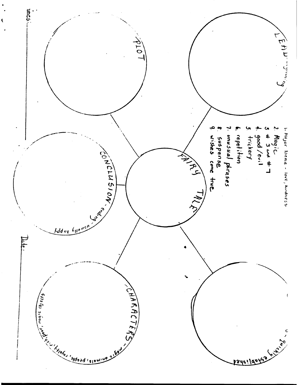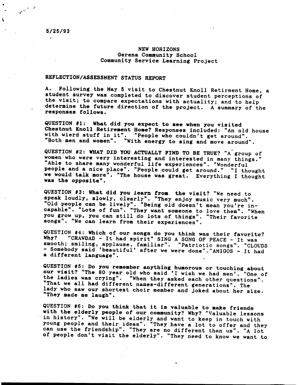$\mathbb{R}^{N^{(k)}}$ 

 $\mathbf{t}$ 

#### NEW HORIZONS Gerena Community School Community Service Learning Project

#### REFLECTION/ASSESSMENT STATUS REPORT

A. Following the May 5 visit to Chestnut Knoll Retirment Home, a student survey was completed to discover student perceptions of the visit; to compare expectations with actuality; and to help determine the future direction of the project. A summary of the responses follows.

QUESTION #1: What did you expect to see when you visited Chestnut Knoll Retirement Home? Responses included: "An old house with wierd stuff in it". "People who couldn't get around". "Both men and women". "With energy to sing and move around".

QUESTION #2: WHAT DID YOU ACTUALLY FIND TO BE TRUE? "A' group of women who were very interesting and interested in many things." "Able to share many wonderful life experiences". "Wonderful people and a nice place". "People could get around." "I thought we would talk more". "The house was great. Everything I thought was the opposite".

QUESTION #3: What did you learn from the visit? "We need to speak loudly, slowly, clearly". "They enjoy music very much". "Old people can be lively". "Being old doesn't mean you're incapable". "Lots of fun". "They want someone to love them". "When you grow up, you can still do lots of things". "Their favorite songs". "We can learn from their experiences".

QUESTION #4: Which of our songs do you think was their favorite?<br>Why? "CRAWDAD - It had spirit" SING A SONG OF PEACE . It was "CRAWDAD - It had spirit" SING A SONG OF PEACE - It was smooth; smiling, applause, familiar". "Patriotic songs". "CLOUDS -Somebody said 'beautiful' after we were done"."AMIGOS - It had a different language".

QUESTION #5: Do you remember anything humorous or touching about our visit? "The 80 year old who said 'I wish we had men'. "One of the ladies was crying". "When they asked each other questions". "That we all had different names-different generations". The lady who saw our shortest choir member and joked about her size. "They made me laugh".

QUESTION #6: Do you think that it is valuable to make friends with the elderly people of our community? Why? "Valuable lessons in history". "We will be elderly and want to keep in touch with young people and their ideas". "They have a lot to offer and they can use the friendship". "They are no different than us". "A lot of people don't visit the elderly". "They need to know we want to